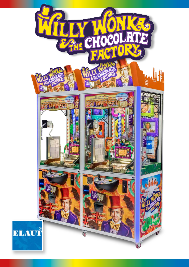